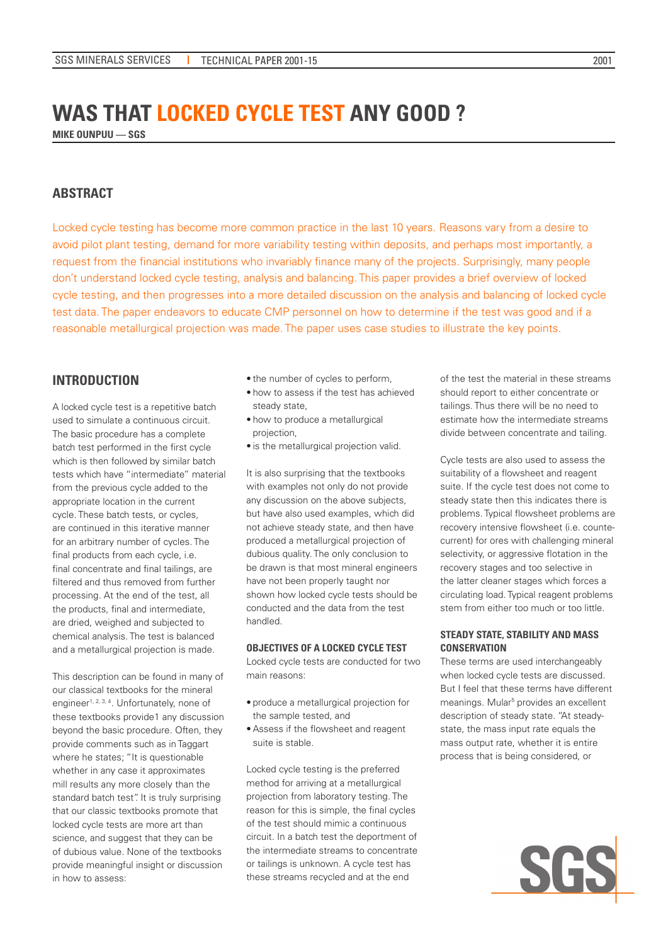# **WAS THAT LOCKED CYCLE TEST ANY GOOD ?**

**MIKE OUNPUU –– SGS**

# **ABSTRACT**

Locked cycle testing has become more common practice in the last 10 years. Reasons vary from a desire to avoid pilot plant testing, demand for more variability testing within deposits, and perhaps most importantly, a request from the financial institutions who invariably finance many of the projects. Surprisingly, many people don't understand locked cycle testing, analysis and balancing. This paper provides a brief overview of locked cycle testing, and then progresses into a more detailed discussion on the analysis and balancing of locked cycle test data. The paper endeavors to educate CMP personnel on how to determine if the test was good and if a reasonable metallurgical projection was made. The paper uses case studies to illustrate the key points.

# **INTRODUCTION**

A locked cycle test is a repetitive batch used to simulate a continuous circuit. The basic procedure has a complete batch test performed in the first cycle which is then followed by similar batch tests which have "intermediate" material from the previous cycle added to the appropriate location in the current cycle. These batch tests, or cycles, are continued in this iterative manner for an arbitrary number of cycles. The final products from each cycle, i.e. final concentrate and final tailings, are filtered and thus removed from further processing. At the end of the test, all the products, final and intermediate, are dried, weighed and subjected to chemical analysis. The test is balanced and a metallurgical projection is made.

This description can be found in many of our classical textbooks for the mineral engineer<sup>1, 2, 3, 4</sup>. Unfortunately, none of these textbooks provide1 any discussion beyond the basic procedure. Often, they provide comments such as in Taggart where he states; "It is questionable whether in any case it approximates mill results any more closely than the standard batch test". It is truly surprising that our classic textbooks promote that locked cycle tests are more art than science, and suggest that they can be of dubious value. None of the textbooks provide meaningful insight or discussion in how to assess:

- the number of cycles to perform,
- how to assess if the test has achieved steady state,
- how to produce a metallurgical projection,
- is the metallurgical projection valid.

It is also surprising that the textbooks with examples not only do not provide any discussion on the above subjects, but have also used examples, which did not achieve steady state, and then have produced a metallurgical projection of dubious quality. The only conclusion to be drawn is that most mineral engineers have not been properly taught nor shown how locked cycle tests should be conducted and the data from the test handled.

# **OBJECTIVES OF A LOCKED CYCLE TEST**

Locked cycle tests are conducted for two main reasons:

- produce a metallurgical projection for the sample tested, and
- Assess if the flowsheet and reagent suite is stable.

Locked cycle testing is the preferred method for arriving at a metallurgical projection from laboratory testing. The reason for this is simple, the final cycles of the test should mimic a continuous circuit. In a batch test the deportment of the intermediate streams to concentrate or tailings is unknown. A cycle test has these streams recycled and at the end

of the test the material in these streams should report to either concentrate or tailings. Thus there will be no need to estimate how the intermediate streams divide between concentrate and tailing.

Cycle tests are also used to assess the suitability of a flowsheet and reagent suite. If the cycle test does not come to steady state then this indicates there is problems. Typical flowsheet problems are recovery intensive flowsheet (i.e. countecurrent) for ores with challenging mineral selectivity, or aggressive flotation in the recovery stages and too selective in the latter cleaner stages which forces a circulating load. Typical reagent problems stem from either too much or too little.

## **STEADY STATE, STABILITY AND MASS CONSERVATION**

These terms are used interchangeably when locked cycle tests are discussed. But I feel that these terms have different meanings. Mular<sup>5</sup> provides an excellent description of steady state. "At steadystate, the mass input rate equals the mass output rate, whether it is entire process that is being considered, or

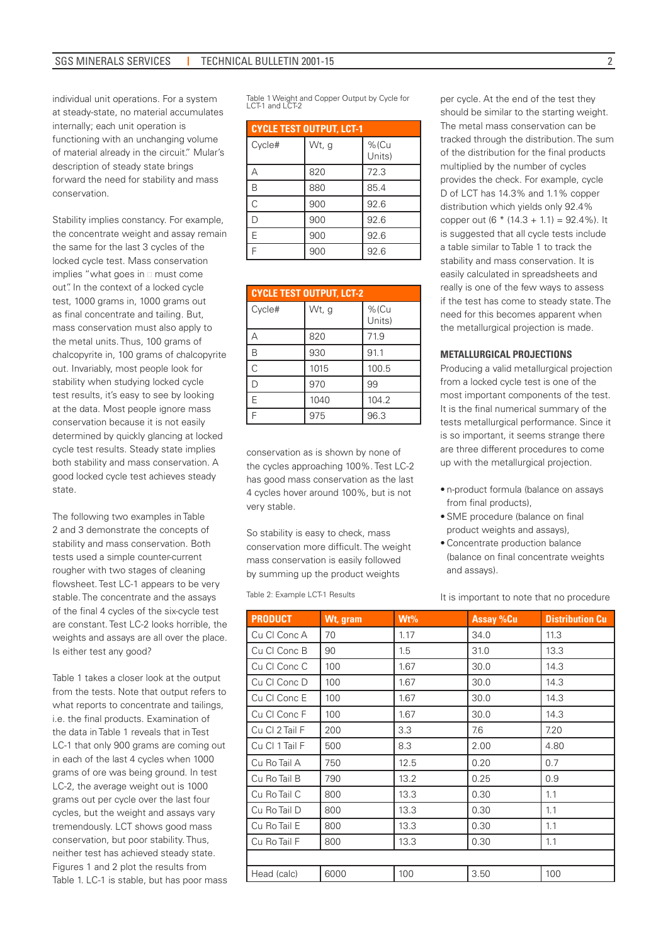individual unit operations. For a system at steady-state, no material accumulates internally; each unit operation is functioning with an unchanging volume of material already in the circuit." Mular's description of steady state brings forward the need for stability and mass conservation.

Stability implies constancy. For example, the concentrate weight and assay remain the same for the last 3 cycles of the locked cycle test. Mass conservation implies "what goes in  $\square$  must come out". In the context of a locked cycle test, 1000 grams in, 1000 grams out as final concentrate and tailing. But, mass conservation must also apply to the metal units. Thus, 100 grams of chalcopyrite in, 100 grams of chalcopyrite out. Invariably, most people look for stability when studying locked cycle test results, it's easy to see by looking at the data. Most people ignore mass conservation because it is not easily determined by quickly glancing at locked cycle test results. Steady state implies both stability and mass conservation. A good locked cycle test achieves steady state.

The following two examples in Table 2 and 3 demonstrate the concepts of stability and mass conservation. Both tests used a simple counter-current rougher with two stages of cleaning flowsheet. Test LC-1 appears to be very stable. The concentrate and the assays of the final 4 cycles of the six-cycle test are constant. Test LC-2 looks horrible, the weights and assays are all over the place. Is either test any good?

Table 1 takes a closer look at the output from the tests. Note that output refers to what reports to concentrate and tailings, i.e. the final products. Examination of the data in Table 1 reveals that in Test LC-1 that only 900 grams are coming out in each of the last 4 cycles when 1000 grams of ore was being ground. In test LC-2, the average weight out is 1000 grams out per cycle over the last four cycles, but the weight and assays vary tremendously. LCT shows good mass conservation, but poor stability. Thus, neither test has achieved steady state. Figures 1 and 2 plot the results from Table 1. LC-1 is stable, but has poor mass

Table 1 Weight and Copper Output by Cycle for LCT-1 and LCT-2

## **CYCLE TEST OUTPUT, LCT-1**

| Cycle# | Wt, g | %(Cu<br>Units) |  |  |  |  |  |
|--------|-------|----------------|--|--|--|--|--|
| Д      | 820   | 72.3           |  |  |  |  |  |
| B      | 880   | 85.4           |  |  |  |  |  |
| C      | 900   | 92.6           |  |  |  |  |  |
| D      | 900   | 92.6           |  |  |  |  |  |
| E      | 900   | 92.6           |  |  |  |  |  |
| Ë      | 900   | 92.6           |  |  |  |  |  |

| <b>CYCLE TEST OUTPUT. LCT-2</b> |       |                   |  |  |  |  |  |  |  |
|---------------------------------|-------|-------------------|--|--|--|--|--|--|--|
| Cycle#                          | Wt, g | $%$ (Cu<br>Units) |  |  |  |  |  |  |  |
| А                               | 820   | 71.9              |  |  |  |  |  |  |  |
| B                               | 930   | 91.1              |  |  |  |  |  |  |  |
| Ċ                               | 1015  | 100.5             |  |  |  |  |  |  |  |
| D                               | 970   | 99                |  |  |  |  |  |  |  |
| E                               | 1040  | 104.2             |  |  |  |  |  |  |  |
| F                               | 975   | 96.3              |  |  |  |  |  |  |  |

conservation as is shown by none of the cycles approaching 100%. Test LC-2 has good mass conservation as the last 4 cycles hover around 100%, but is not very stable.

So stability is easy to check, mass conservation more difficult. The weight mass conservation is easily followed by summing up the product weights

Table 2: Example LCT-1 Results

per cycle. At the end of the test they should be similar to the starting weight. The metal mass conservation can be tracked through the distribution. The sum of the distribution for the final products multiplied by the number of cycles provides the check. For example, cycle D of LCT has 14.3% and 1.1% copper distribution which yields only 92.4% copper out (6  $*$  (14.3 + 1.1) = 92.4%). It is suggested that all cycle tests include a table similar to Table 1 to track the stability and mass conservation. It is easily calculated in spreadsheets and really is one of the few ways to assess if the test has come to steady state. The need for this becomes apparent when the metallurgical projection is made.

#### **METALLURGICAL PROJECTIONS**

Producing a valid metallurgical projection from a locked cycle test is one of the most important components of the test. It is the final numerical summary of the tests metallurgical performance. Since it is so important, it seems strange there are three different procedures to come up with the metallurgical projection.

- n-product formula (balance on assays from final products),
- SME procedure (balance on final product weights and assays),
- Concentrate production balance (balance on final concentrate weights and assays).

It is important to note that no procedure

| <b>PRODUCT</b> | Wt, gram | Wt%  | <b>Assay %Cu</b> | <b>Distribution Cu</b> |
|----------------|----------|------|------------------|------------------------|
| Cu Cl Conc A   | 70       | 1.17 | 34.0             | 11.3                   |
| Cu Cl Conc B   | 90       | 1.5  | 31.0             | 13.3                   |
| Cu CI Conc C   | 100      | 1.67 | 30.0             | 14.3                   |
| Cu Cl Conc D   | 100      | 1.67 | 30.0             | 14.3                   |
| Cu Cl Conc E   | 100      | 1.67 | 30.0             | 14.3                   |
| Cu Cl Conc F   | 100      | 1.67 | 30.0             | 14.3                   |
| Cu Cl 2 Tail F | 200      | 3.3  | 7.6              | 7.20                   |
| Cu Cl 1 Tail F | 500      | 8.3  | 2.00             | 4.80                   |
| Cu Ro Tail A   | 750      | 12.5 | 0.20             | 0.7                    |
| Cu Ro Tail B   | 790      | 13.2 | 0.25             | 0.9                    |
| Cu Ro Tail C   | 800      | 13.3 | 0.30             | 1.1                    |
| Cu Ro Tail D   | 800      | 13.3 | 0.30             | 1.1                    |
| Cu Ro Tail E   | 800      | 13.3 | 0.30             | 1.1                    |
| Cu Ro Tail F   | 800      | 13.3 | 0.30             | 1.1                    |
|                |          |      |                  |                        |
| Head (calc)    | 6000     | 100  | 3.50             | 100                    |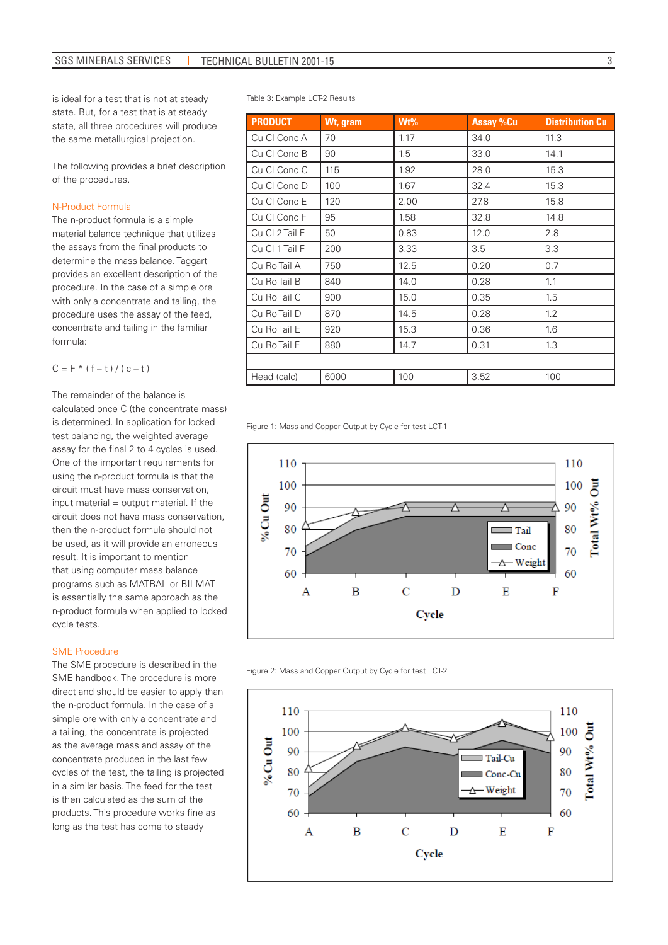is ideal for a test that is not at steady state. But, for a test that is at steady state, all three procedures will produce the same metallurgical projection.

The following provides a brief description of the procedures.

#### N-Product Formula

The n-product formula is a simple material balance technique that utilizes the assays from the final products to determine the mass balance. Taggart provides an excellent description of the procedure. In the case of a simple ore with only a concentrate and tailing, the procedure uses the assay of the feed, concentrate and tailing in the familiar formula:

$$
C = F * (f - t) / (c - t)
$$

The remainder of the balance is calculated once C (the concentrate mass) is determined. In application for locked test balancing, the weighted average assay for the final 2 to 4 cycles is used. One of the important requirements for using the n-product formula is that the circuit must have mass conservation, input material = output material. If the circuit does not have mass conservation, then the n-product formula should not be used, as it will provide an erroneous result. It is important to mention that using computer mass balance programs such as MATBAL or BILMAT is essentially the same approach as the n-product formula when applied to locked cycle tests.

#### SME Procedure

The SME procedure is described in the SME handbook. The procedure is more direct and should be easier to apply than the n-product formula. In the case of a simple ore with only a concentrate and a tailing, the concentrate is projected as the average mass and assay of the concentrate produced in the last few cycles of the test, the tailing is projected in a similar basis. The feed for the test is then calculated as the sum of the products. This procedure works fine as long as the test has come to steady

Table 3: Example LCT-2 Results

| <b>PRODUCT</b> | Wt, gram | Wt%  | <b>Assay %Cu</b> | <b>Distribution Cu</b> |
|----------------|----------|------|------------------|------------------------|
| Cu Cl Conc A   | 70       | 1.17 | 34.0             | 11.3                   |
| Cu Cl Conc B   | 90       | 1.5  | 33.0             | 14.1                   |
| Cu Cl Conc C   | 115      | 1.92 | 28.0             | 15.3                   |
| Cu Cl Conc D   | 100      | 1.67 | 32.4             | 15.3                   |
| Cu Cl Conc E   | 120      | 2.00 | 27.8             | 15.8                   |
| Cu Cl Conc F   | 95       | 1.58 | 32.8             | 14.8                   |
| Cu Cl 2 Tail F | 50       | 0.83 | 12.0             | 2.8                    |
| Cu Cl 1 Tail F | 200      | 3.33 | 3.5              | 3.3                    |
| Cu Ro Tail A   | 750      | 12.5 | 0.20             | 0.7                    |
| Cu Ro Tail B   | 840      | 14.0 | 0.28             | 1.1                    |
| Cu Ro Tail C   | 900      | 15.0 | 0.35             | 1.5                    |
| Cu Ro Tail D   | 870      | 14.5 | 0.28             | 1.2                    |
| Cu Ro Tail E   | 920      | 15.3 | 0.36             | 1.6                    |
| Cu Ro Tail F   | 880      | 14.7 | 0.31             | 1.3                    |
|                |          |      |                  |                        |
| Head (calc)    | 6000     | 100  | 3.52             | 100                    |

Figure 1: Mass and Copper Output by Cycle for test LCT-1



Figure 2: Mass and Copper Output by Cycle for test LCT-2

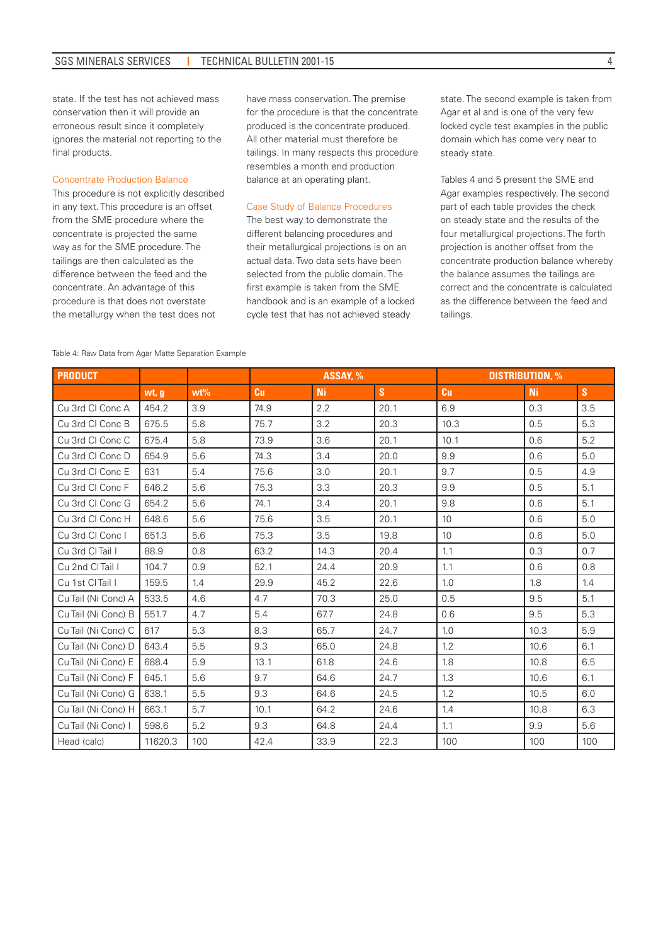state. If the test has not achieved mass conservation then it will provide an erroneous result since it completely ignores the material not reporting to the final products.

#### Concentrate Production Balance

This procedure is not explicitly described in any text. This procedure is an offset from the SME procedure where the concentrate is projected the same way as for the SME procedure. The tailings are then calculated as the difference between the feed and the concentrate. An advantage of this procedure is that does not overstate the metallurgy when the test does not

have mass conservation. The premise for the procedure is that the concentrate produced is the concentrate produced. All other material must therefore be tailings. In many respects this procedure resembles a month end production balance at an operating plant.

#### Case Study of Balance Procedures

The best way to demonstrate the different balancing procedures and their metallurgical projections is on an actual data. Two data sets have been selected from the public domain. The first example is taken from the SME handbook and is an example of a locked cycle test that has not achieved steady

state. The second example is taken from Agar et al and is one of the very few locked cycle test examples in the public domain which has come very near to steady state.

Tables 4 and 5 present the SME and Agar examples respectively. The second part of each table provides the check on steady state and the results of the four metallurgical projections. The forth projection is another offset from the concentrate production balance whereby the balance assumes the tailings are correct and the concentrate is calculated as the difference between the feed and tailings.

| <b>PRODUCT</b>      |         |        | ASSAY, %  |           |      | <b>DISTRIBUTION, %</b> |      |     |
|---------------------|---------|--------|-----------|-----------|------|------------------------|------|-----|
|                     | wt, g   | $wt\%$ | <b>Cu</b> | <b>Ni</b> | S    | Cu                     | Ni   | S   |
| Cu 3rd Cl Conc A    | 454.2   | 3.9    | 74.9      | 2.2       | 20.1 | 6.9                    | 0.3  | 3.5 |
| Cu 3rd Cl Conc B    | 675.5   | 5.8    | 75.7      | 3.2       | 20.3 | 10.3                   | 0.5  | 5.3 |
| Cu 3rd Cl Conc C    | 675.4   | 5.8    | 73.9      | 3.6       | 20.1 | 10.1                   | 0.6  | 5.2 |
| Cu 3rd Cl Conc D    | 654.9   | 5.6    | 74.3      | 3.4       | 20.0 | 9.9                    | 0.6  | 5.0 |
| Cu 3rd Cl Conc E    | 631     | 5.4    | 75.6      | 3.0       | 20.1 | 9.7                    | 0.5  | 4.9 |
| Cu 3rd Cl Conc F    | 646.2   | 5.6    | 75.3      | 3.3       | 20.3 | 9.9                    | 0.5  | 5.1 |
| Cu 3rd Cl Conc G    | 654.2   | 5.6    | 74.1      | 3.4       | 20.1 | 9.8                    | 0.6  | 5.1 |
| Cu 3rd Cl Conc H    | 648.6   | 5.6    | 75.6      | 3.5       | 20.1 | 10                     | 0.6  | 5.0 |
| Cu 3rd Cl Conc I    | 651.3   | 5.6    | 75.3      | 3.5       | 19.8 | 10                     | 0.6  | 5.0 |
| Cu 3rd CI Tail I    | 88.9    | 0.8    | 63.2      | 14.3      | 20.4 | 1.1                    | 0.3  | 0.7 |
| Cu 2nd CI Tail I    | 104.7   | 0.9    | 52.1      | 24.4      | 20.9 | 1.1                    | 0.6  | 0.8 |
| Cu 1st CI Tail I    | 159.5   | 1.4    | 29.9      | 45.2      | 22.6 | 1.0                    | 1.8  | 1.4 |
| Cu Tail (Ni Conc) A | 533.5   | 4.6    | 4.7       | 70.3      | 25.0 | 0.5                    | 9.5  | 5.1 |
| Cu Tail (Ni Conc) B | 551.7   | 4.7    | 5.4       | 67.7      | 24.8 | 0.6                    | 9.5  | 5.3 |
| Cu Tail (Ni Conc) C | 617     | 5.3    | 8.3       | 65.7      | 24.7 | 1.0                    | 10.3 | 5.9 |
| Cu Tail (Ni Conc) D | 643.4   | 5.5    | 9.3       | 65.0      | 24.8 | 1.2                    | 10.6 | 6.1 |
| Cu Tail (Ni Conc) E | 688.4   | 5.9    | 13.1      | 61.8      | 24.6 | 1.8                    | 10.8 | 6.5 |
| Cu Tail (Ni Conc) F | 645.1   | 5.6    | 9.7       | 64.6      | 24.7 | 1.3                    | 10.6 | 6.1 |
| Cu Tail (Ni Conc) G | 638.1   | 5.5    | 9.3       | 64.6      | 24.5 | 1.2                    | 10.5 | 6.0 |
| Cu Tail (Ni Conc) H | 663.1   | 5.7    | 10.1      | 64.2      | 24.6 | 1.4                    | 10.8 | 6.3 |
| Cu Tail (Ni Conc) I | 598.6   | 5.2    | 9.3       | 64.8      | 24.4 | 1.1                    | 9.9  | 5.6 |
| Head (calc)         | 11620.3 | 100    | 42.4      | 33.9      | 22.3 | 100                    | 100  | 100 |

#### Table 4: Raw Data from Agar Matte Separation Example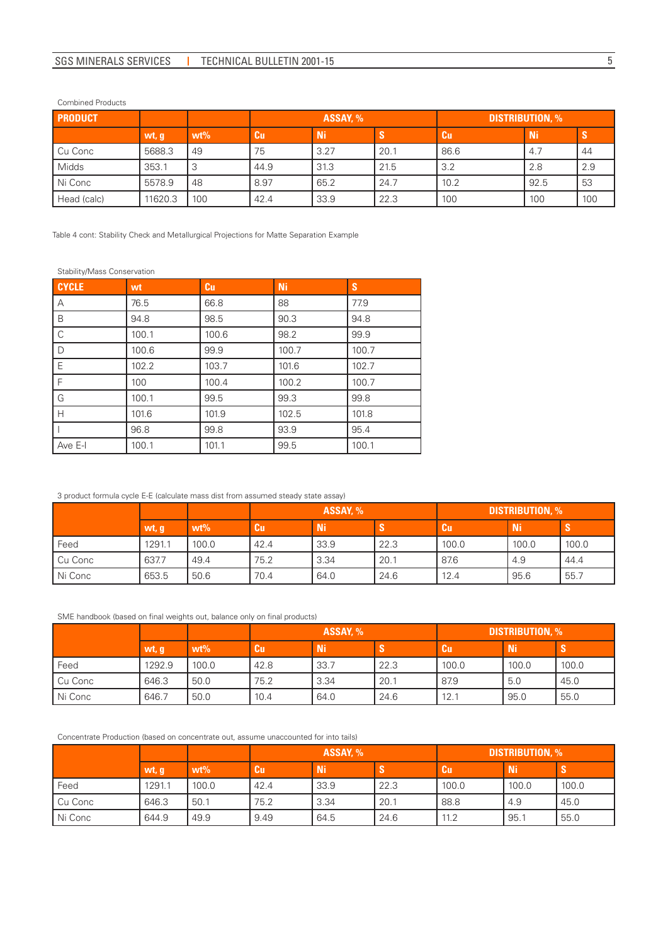## Combined Products

| <b>PRODUCT</b> |         |        | ASSAY, % |      |      | <b>DISTRIBUTION, %</b> |           |     |
|----------------|---------|--------|----------|------|------|------------------------|-----------|-----|
|                | wt, g   | $wt\%$ | Cu       | Ni   |      | <b>Cu</b>              | <b>Ni</b> |     |
| Cu Conc        | 5688.3  | 49     | 75       | 3.27 | 20.1 | 86.6                   | 4.7       | 44  |
| Midds          | 353.1   | 3      | 44.9     | 31.3 | 21.5 | 3.2                    | 2.8       | 2.9 |
| Ni Conc        | 5578.9  | 48     | 8.97     | 65.2 | 24.7 | 10.2                   | 92.5      | 53  |
| Head (calc)    | 11620.3 | 100    | 42.4     | 33.9 | 22.3 | 100                    | 100       | 100 |

Table 4 cont: Stability Check and Metallurgical Projections for Matte Separation Example

#### Stability/Mass Conservation

| <b>CYCLE</b> | wt    | <b>Cu</b> | <b>Ni</b> | S     |
|--------------|-------|-----------|-----------|-------|
| A            | 76.5  | 66.8      | 88        | 77.9  |
| B            | 94.8  | 98.5      | 90.3      | 94.8  |
| l c          | 100.1 | 100.6     | 98.2      | 99.9  |
| I D          | 100.6 | 99.9      | 100.7     | 100.7 |
| l E          | 102.2 | 103.7     | 101.6     | 102.7 |
| IF.          | 100   | 100.4     | 100.2     | 100.7 |
| ΙG           | 100.1 | 99.5      | 99.3      | 99.8  |
| Iн           | 101.6 | 101.9     | 102.5     | 101.8 |
|              | 96.8  | 99.8      | 93.9      | 95.4  |
| Ave E-I      | 100.1 | 101.1     | 99.5      | 100.1 |

## 3 product formula cycle E-E (calculate mass dist from assumed steady state assay)

|         |        |        | ASSAY, % |      | <b>DISTRIBUTION, %</b> |       |       |       |
|---------|--------|--------|----------|------|------------------------|-------|-------|-------|
|         | wt, g  | $wt\%$ | Cu       | /Ni/ |                        | Cu    | / Ni/ | -0    |
| Feed    | 1291.1 | 100.0  | 42.4     | 33.9 | 22.3                   | 100.0 | 100.0 | 100.0 |
| Cu Conc | 637.7  | 49.4   | 75.2     | 3.34 | 20.1                   | 87.6  | 4.9   | 44.4  |
| Ni Conc | 653.5  | 50.6   | 70.4     | 64.0 | 24.6                   | 12.4  | 95.6  | 55.7  |

#### SME handbook (based on final weights out, balance only on final products)

|         |         |        |      | ASSAY. % | <b>DISTRIBUTION, %</b> |       |           |       |
|---------|---------|--------|------|----------|------------------------|-------|-----------|-------|
|         | ' wt, g | $wt\%$ | Cu   | Ni       |                        | Cu    | <b>Ni</b> | -0    |
| Feed    | 1292.9  | 100.0  | 42.8 | 33.7     | 22.3                   | 100.0 | 100.0     | 100.0 |
| Cu Conc | 646.3   | 50.0   | 75.2 | 3.34     | 20.1                   | 87.9  | 5.0       | 45.0  |
| Ni Conc | 646.7   | 50.0   | 10.4 | 64.0     | 24.6                   | 12.1  | 95.0      | 55.0  |

## Concentrate Production (based on concentrate out, assume unaccounted for into tails)

|           |        |        |      | ASSAY, % |      |       | <b>DISTRIBUTION, %</b> |       |  |
|-----------|--------|--------|------|----------|------|-------|------------------------|-------|--|
|           | wt, q  | $wt\%$ | Cu.  | Ni       |      | Cu    | <b>Ni</b>              |       |  |
| Feed      | 1291.1 | 100.0  | 42.4 | 33.9     | 22.3 | 100.0 | 100.0                  | 100.0 |  |
| Cu Conc   | 646.3  | 50.1   | 75.2 | 3.34     | 20.1 | 88.8  | 4.9                    | 45.0  |  |
| l Ni Conc | 644.9  | 49.9   | 9.49 | 64.5     | 24.6 | 11.2  | 95.1                   | 55.0  |  |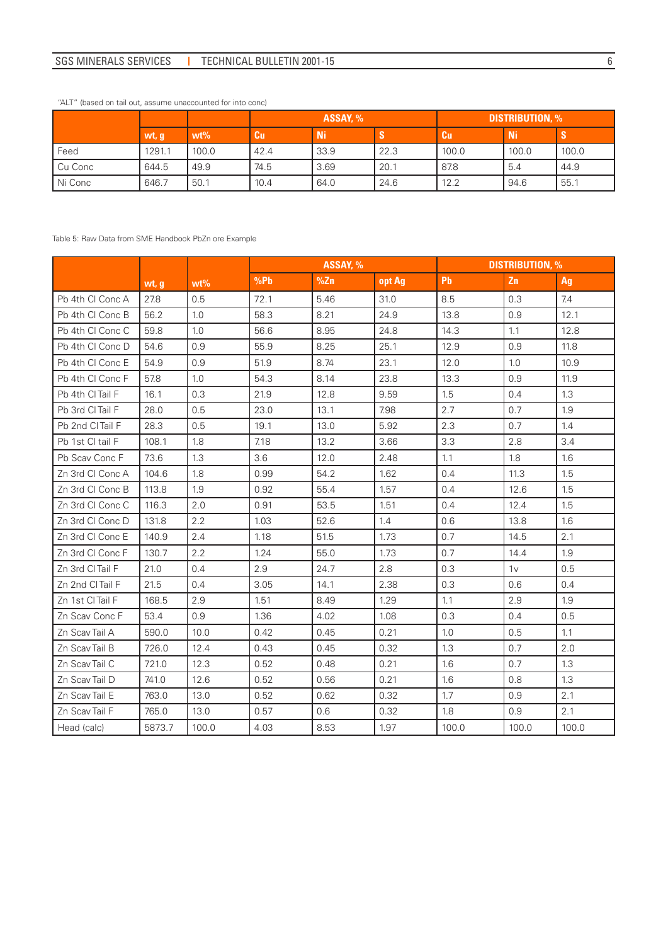# SGS MINERALS SERVICES | TECHNICAL BULLETIN 2001-15 6

|           |        |        |           | ASSAY, % |      |           | <b>DISTRIBUTION, %</b> |       |  |
|-----------|--------|--------|-----------|----------|------|-----------|------------------------|-------|--|
|           | wt, g  | $wt\%$ | <b>Cu</b> | Ni       |      | <b>Cu</b> | <b>Ni</b>              |       |  |
| Feed      | 1291.1 | 100.0  | 42.4      | 33.9     | 22.3 | 100.0     | 100.0                  | 100.0 |  |
| Cu Conc   | 644.5  | 49.9   | 74.5      | 3.69     | 20.1 | 87.8      | 5.4                    | 44.9  |  |
| l Ni Conc | 646.7  | 50.1   | 10.4      | 64.0     | 24.6 | 12.2      | 94.6                   | 55.1  |  |

## "ALT" (based on tail out, assume unaccounted for into conc)

#### Table 5: Raw Data from SME Handbook PbZn ore Example

|                  |        |        | ASSAY, % |      |        |       | <b>DISTRIBUTION, %</b> |       |
|------------------|--------|--------|----------|------|--------|-------|------------------------|-------|
|                  | wt, g  | $wt\%$ | %Pb      | %Zn  | opt Ag | Pb    | Zn                     | Ag    |
| Pb 4th CI Conc A | 27.8   | 0.5    | 72.1     | 5.46 | 31.0   | 8.5   | 0.3                    | 7.4   |
| Pb 4th CI Conc B | 56.2   | 1.0    | 58.3     | 8.21 | 24.9   | 13.8  | 0.9                    | 12.1  |
| Pb 4th CI Conc C | 59.8   | 1.0    | 56.6     | 8.95 | 24.8   | 14.3  | 1.1                    | 12.8  |
| Pb 4th CI Conc D | 54.6   | 0.9    | 55.9     | 8.25 | 25.1   | 12.9  | 0.9                    | 11.8  |
| Pb 4th CI Conc E | 54.9   | 0.9    | 51.9     | 8.74 | 23.1   | 12.0  | 1.0                    | 10.9  |
| Pb 4th Cl Conc F | 57.8   | 1.0    | 54.3     | 8.14 | 23.8   | 13.3  | 0.9                    | 11.9  |
| Pb 4th CI Tail F | 16.1   | 0.3    | 21.9     | 12.8 | 9.59   | 1.5   | 0.4                    | 1.3   |
| Pb 3rd CI Tail F | 28.0   | 0.5    | 23.0     | 13.1 | 7.98   | 2.7   | 0.7                    | 1.9   |
| Pb 2nd CI Tail F | 28.3   | 0.5    | 19.1     | 13.0 | 5.92   | 2.3   | 0.7                    | 1.4   |
| Pb 1st CI tail F | 108.1  | 1.8    | 7.18     | 13.2 | 3.66   | 3.3   | 2.8                    | 3.4   |
| Pb Scav Conc F   | 73.6   | 1.3    | 3.6      | 12.0 | 2.48   | 1.1   | 1.8                    | 1.6   |
| Zn 3rd Cl Conc A | 104.6  | 1.8    | 0.99     | 54.2 | 1.62   | 0.4   | 11.3                   | 1.5   |
| Zn 3rd CI Conc B | 113.8  | 1.9    | 0.92     | 55.4 | 1.57   | 0.4   | 12.6                   | 1.5   |
| Zn 3rd CI Conc C | 116.3  | 2.0    | 0.91     | 53.5 | 1.51   | 0.4   | 12.4                   | 1.5   |
| Zn 3rd CI Conc D | 131.8  | 2.2    | 1.03     | 52.6 | 1.4    | 0.6   | 13.8                   | 1.6   |
| Zn 3rd Cl Conc E | 140.9  | 2.4    | 1.18     | 51.5 | 1.73   | 0.7   | 14.5                   | 2.1   |
| Zn 3rd CI Conc F | 130.7  | 2.2    | 1.24     | 55.0 | 1.73   | 0.7   | 14.4                   | 1.9   |
| Zn 3rd Cl Tail F | 21.0   | 0.4    | 2.9      | 24.7 | 2.8    | 0.3   | 1 <sub>V</sub>         | 0.5   |
| Zn 2nd CITail F  | 21.5   | 0.4    | 3.05     | 14.1 | 2.38   | 0.3   | 0.6                    | 0.4   |
| Zn 1st CI Tail F | 168.5  | 2.9    | 1.51     | 8.49 | 1.29   | 1.1   | 2.9                    | 1.9   |
| Zn Scav Conc F   | 53.4   | 0.9    | 1.36     | 4.02 | 1.08   | 0.3   | 0.4                    | 0.5   |
| Zn Scav Tail A   | 590.0  | 10.0   | 0.42     | 0.45 | 0.21   | 1.0   | 0.5                    | 1.1   |
| Zn Scav Tail B   | 726.0  | 12.4   | 0.43     | 0.45 | 0.32   | 1.3   | 0.7                    | 2.0   |
| Zn Scav Tail C   | 721.0  | 12.3   | 0.52     | 0.48 | 0.21   | 1.6   | 0.7                    | 1.3   |
| Zn Scav Tail D   | 741.0  | 12.6   | 0.52     | 0.56 | 0.21   | 1.6   | 0.8                    | 1.3   |
| Zn Scav Tail E   | 763.0  | 13.0   | 0.52     | 0.62 | 0.32   | 1.7   | 0.9                    | 2.1   |
| Zn Scav Tail F   | 765.0  | 13.0   | 0.57     | 0.6  | 0.32   | 1.8   | 0.9                    | 2.1   |
| Head (calc)      | 5873.7 | 100.0  | 4.03     | 8.53 | 1.97   | 100.0 | 100.0                  | 100.0 |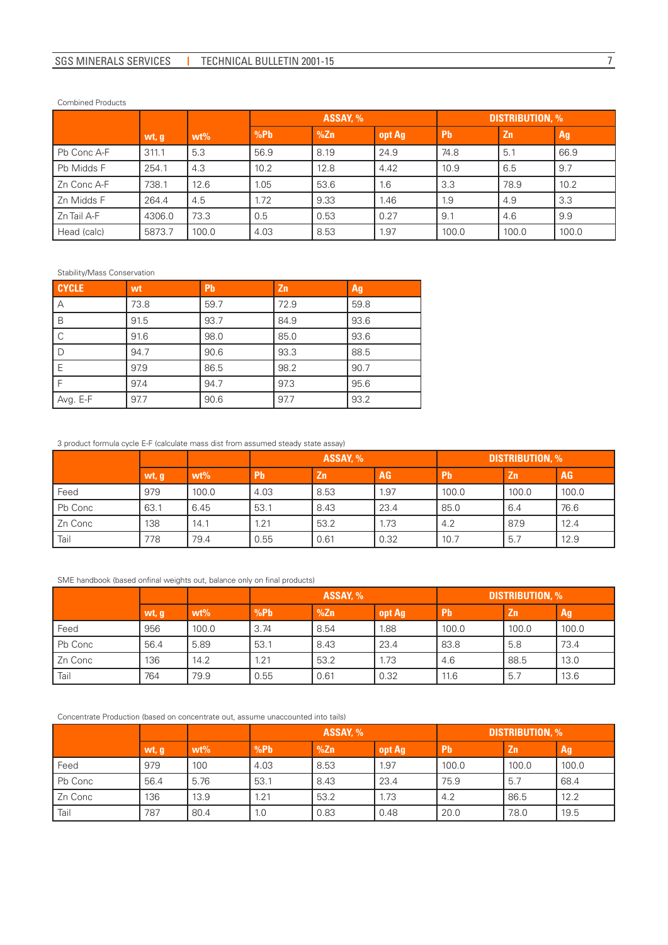#### Combined Products

|             |        |        | ASSAY, % |      |        | <b>DISTRIBUTION, %</b> |       |       |  |
|-------------|--------|--------|----------|------|--------|------------------------|-------|-------|--|
|             | wt, g  | $wt\%$ | %Pb      | %Zn  | opt Ag | <b>Pb</b>              | Zn    | Ag    |  |
| Pb Conc A-F | 311.1  | 5.3    | 56.9     | 8.19 | 24.9   | 74.8                   | 5.1   | 66.9  |  |
| Pb Midds F  | 254.1  | 4.3    | 10.2     | 12.8 | 4.42   | 10.9                   | 6.5   | 9.7   |  |
| Zn Conc A-F | 738.1  | 12.6   | 1.05     | 53.6 | 1.6    | 3.3                    | 78.9  | 10.2  |  |
| Zn Midds F  | 264.4  | 4.5    | 1.72     | 9.33 | 1.46   | 1.9                    | 4.9   | 3.3   |  |
| Zn Tail A-F | 4306.0 | 73.3   | 0.5      | 0.53 | 0.27   | 9.1                    | 4.6   | 9.9   |  |
| Head (calc) | 5873.7 | 100.0  | 4.03     | 8.53 | 1.97   | 100.0                  | 100.0 | 100.0 |  |

#### Stability/Mass Conservation

| <b>CYCLE</b> | wt   | <b>Pb</b> | Zn   | Ag   |
|--------------|------|-----------|------|------|
| ΙA           | 73.8 | 59.7      | 72.9 | 59.8 |
| B            | 91.5 | 93.7      | 84.9 | 93.6 |
| l C          | 91.6 | 98.0      | 85.0 | 93.6 |
| l D          | 94.7 | 90.6      | 93.3 | 88.5 |
| E            | 97.9 | 86.5      | 98.2 | 90.7 |
| r El         | 97.4 | 94.7      | 97.3 | 95.6 |
| Avg. E-F     | 97.7 | 90.6      | 97.7 | 93.2 |

#### 3 product formula cycle E-F (calculate mass dist from assumed steady state assay)

|         |       |        | ASSAY, %  |           |      | <b>DISTRIBUTION, %</b> |           |       |  |
|---------|-------|--------|-----------|-----------|------|------------------------|-----------|-------|--|
|         | wt, g | $wt\%$ | <b>Pb</b> | <b>Zn</b> | AG   | <b>Pb</b>              | <b>Zn</b> | AG    |  |
| Feed    | 979   | 100.0  | 4.03      | 8.53      | 1.97 | 100.0                  | 100.0     | 100.0 |  |
| Pb Conc | 63.1  | 6.45   | 53.1      | 8.43      | 23.4 | 85.0                   | 6.4       | 76.6  |  |
| Zn Conc | 138   | 14.1   | 1.21      | 53.2      | 1.73 | 4.2                    | 87.9      | 12.4  |  |
| Tail    | 778   | 79.4   | 0.55      | 0.61      | 0.32 | 10.7                   | 5.7       | 12.9  |  |

## SME handbook (based onfinal weights out, balance only on final products)

|         |       |        | ASSAY, % |      |        | <b>DISTRIBUTION, %</b> |           |       |  |
|---------|-------|--------|----------|------|--------|------------------------|-----------|-------|--|
|         | wt, g | $wt\%$ | %Pb      | %Zn  | opt Ag | Pb                     | <b>Zn</b> | Ag    |  |
| Feed    | 956   | 100.0  | 3.74     | 8.54 | 1.88   | 100.0                  | 100.0     | 100.0 |  |
| Pb Conc | 56.4  | 5.89   | 53.1     | 8.43 | 23.4   | 83.8                   | 5.8       | 73.4  |  |
| Zn Conc | 136   | 14.2   | .21      | 53.2 | 1.73   | 4.6                    | 88.5      | 13.0  |  |
| Tail    | 764   | 79.9   | 0.55     | 0.61 | 0.32   | 11.6                   | 5.7       | 13.6  |  |

# Concentrate Production (based on concentrate out, assume unaccounted into tails)

|         |       |        | ASSAY, % |      |        | <b>DISTRIBUTION, %</b> |           |       |  |
|---------|-------|--------|----------|------|--------|------------------------|-----------|-------|--|
|         | wt, g | $wt\%$ | %Pb      | %Zn  | opt Ag | <b>Pb</b>              | <b>Zn</b> | Ag    |  |
| Feed    | 979   | 100    | 4.03     | 8.53 | 1.97   | 100.0                  | 100.0     | 100.0 |  |
| Pb Conc | 56.4  | 5.76   | 53.1     | 8.43 | 23.4   | 75.9                   | 5.7       | 68.4  |  |
| Zn Conc | 136   | 13.9   | .21      | 53.2 | 1.73   | 4.2                    | 86.5      | 12.2  |  |
| Tail    | 787   | 80.4   | 1.0      | 0.83 | 0.48   | 20.0                   | 7.8.0     | 19.5  |  |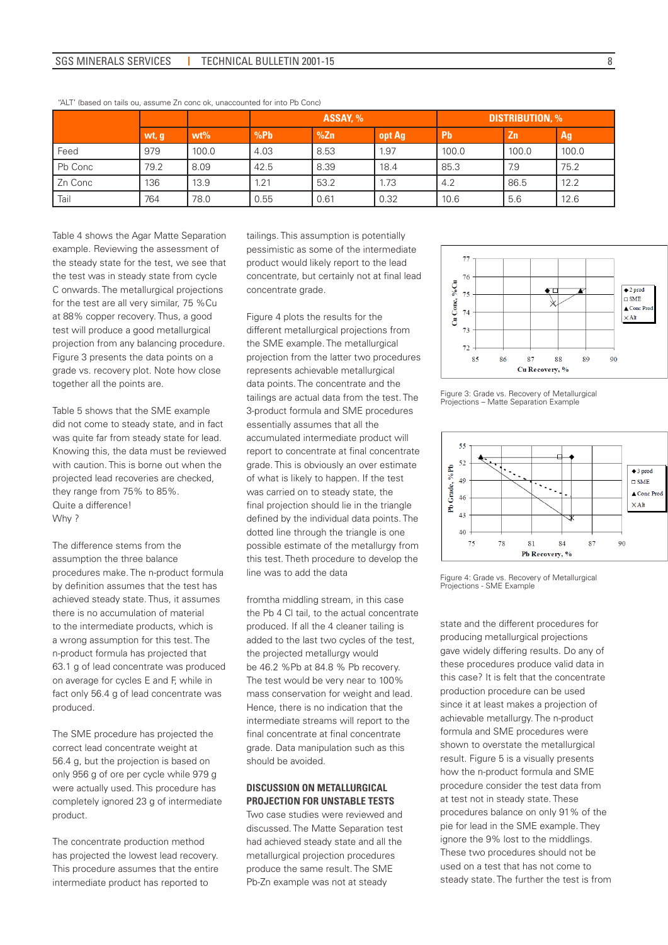## SGS MINERALS SERVICES | TECHNICAL BULLETIN 2001-15 8

|         |       |        | ASSAY, % |      |        | <b>DISTRIBUTION, %</b> |                |       |  |
|---------|-------|--------|----------|------|--------|------------------------|----------------|-------|--|
|         | wt, g | $wt\%$ | %Pb      | %Zn  | opt Ag | <b>Pb</b>              | Z <sub>n</sub> | Ag    |  |
| Feed    | 979   | 100.0  | 4.03     | 8.53 | 1.97   | 100.0                  | 100.0          | 100.0 |  |
| Pb Conc | 79.2  | 8.09   | 42.5     | 8.39 | 18.4   | 85.3                   | 7.9            | 75.2  |  |
| Zn Conc | 136   | 13.9   | 1.21     | 53.2 | 1.73   | 4.2                    | 86.5           | 12.2  |  |
| Tail    | 764   | 78.0   | 0.55     | 0.61 | 0.32   | 10.6                   | 5.6            | 12.6  |  |

"ALT' (based on tails ou, assume Zn conc ok, unaccounted for into Pb Conc)

Table 4 shows the Agar Matte Separation example. Reviewing the assessment of the steady state for the test, we see that the test was in steady state from cycle C onwards. The metallurgical projections for the test are all very similar, 75 %Cu at 88% copper recovery. Thus, a good test will produce a good metallurgical projection from any balancing procedure. Figure 3 presents the data points on a grade vs. recovery plot. Note how close together all the points are.

Table 5 shows that the SME example did not come to steady state, and in fact was quite far from steady state for lead. Knowing this, the data must be reviewed with caution. This is borne out when the projected lead recoveries are checked, they range from 75% to 85%. Quite a difference! Why ?

The difference stems from the assumption the three balance procedures make. The n-product formula by definition assumes that the test has achieved steady state. Thus, it assumes there is no accumulation of material to the intermediate products, which is a wrong assumption for this test. The n-product formula has projected that 63.1 g of lead concentrate was produced on average for cycles E and F, while in fact only 56.4 g of lead concentrate was produced.

The SME procedure has projected the correct lead concentrate weight at 56.4 g, but the projection is based on only 956 g of ore per cycle while 979 g were actually used. This procedure has completely ignored 23 g of intermediate product.

The concentrate production method has projected the lowest lead recovery. This procedure assumes that the entire intermediate product has reported to

tailings. This assumption is potentially pessimistic as some of the intermediate product would likely report to the lead concentrate, but certainly not at final lead concentrate grade.

Figure 4 plots the results for the different metallurgical projections from the SME example. The metallurgical projection from the latter two procedures represents achievable metallurgical data points. The concentrate and the tailings are actual data from the test. The 3-product formula and SME procedures essentially assumes that all the accumulated intermediate product will report to concentrate at final concentrate grade. This is obviously an over estimate of what is likely to happen. If the test was carried on to steady state, the final projection should lie in the triangle defined by the individual data points. The dotted line through the triangle is one possible estimate of the metallurgy from this test. Theth procedure to develop the line was to add the data

fromtha middling stream, in this case the Pb 4 Cl tail, to the actual concentrate produced. If all the 4 cleaner tailing is added to the last two cycles of the test, the projected metallurgy would be 46.2 %Pb at 84.8 % Pb recovery. The test would be very near to 100% mass conservation for weight and lead. Hence, there is no indication that the intermediate streams will report to the final concentrate at final concentrate grade. Data manipulation such as this should be avoided.

### **DISCUSSION ON METALLURGICAL PROJECTION FOR UNSTABLE TESTS**

Two case studies were reviewed and discussed. The Matte Separation test had achieved steady state and all the metallurgical projection procedures produce the same result. The SME Pb-Zn example was not at steady



Figure 3: Grade vs. Recovery of Metallurgical Projections – Matte Separation Example



Figure 4: Grade vs. Recovery of Metallurgical Projections - SME Example

state and the different procedures for producing metallurgical projections gave widely differing results. Do any of these procedures produce valid data in this case? It is felt that the concentrate production procedure can be used since it at least makes a projection of achievable metallurgy. The n-product formula and SME procedures were shown to overstate the metallurgical result. Figure 5 is a visually presents how the n-product formula and SME procedure consider the test data from at test not in steady state. These procedures balance on only 91% of the pie for lead in the SME example. They ignore the 9% lost to the middlings. These two procedures should not be used on a test that has not come to steady state. The further the test is from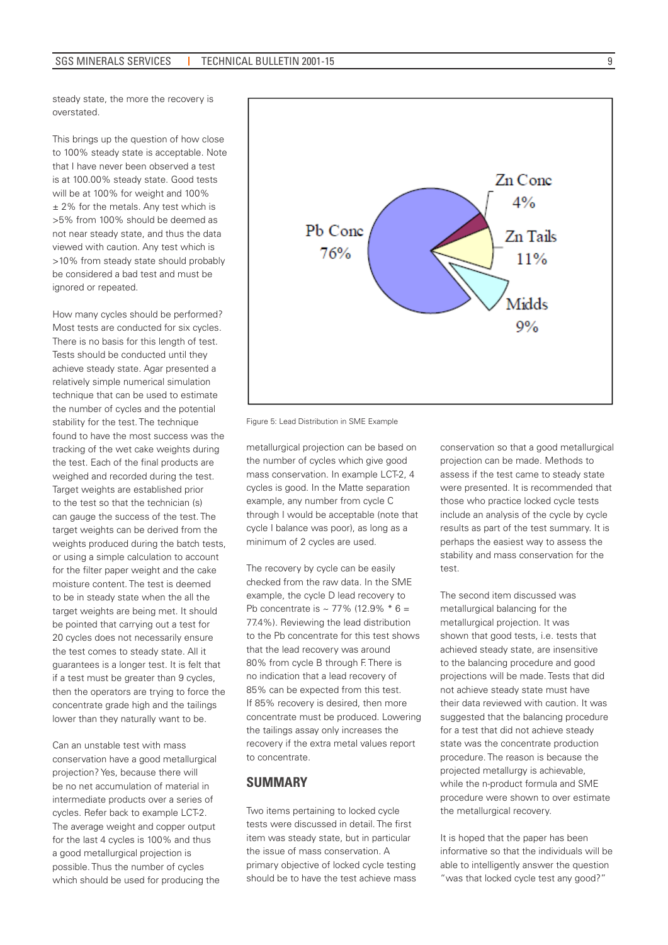steady state, the more the recovery is overstated.

This brings up the question of how close to 100% steady state is acceptable. Note that I have never been observed a test is at 100.00% steady state. Good tests will be at 100% for weight and 100% ± 2% for the metals. Any test which is >5% from 100% should be deemed as not near steady state, and thus the data viewed with caution. Any test which is >10% from steady state should probably be considered a bad test and must be ignored or repeated.

How many cycles should be performed? Most tests are conducted for six cycles. There is no basis for this length of test. Tests should be conducted until they achieve steady state. Agar presented a relatively simple numerical simulation technique that can be used to estimate the number of cycles and the potential stability for the test. The technique found to have the most success was the tracking of the wet cake weights during the test. Each of the final products are weighed and recorded during the test. Target weights are established prior to the test so that the technician (s) can gauge the success of the test. The target weights can be derived from the weights produced during the batch tests, or using a simple calculation to account for the filter paper weight and the cake moisture content. The test is deemed to be in steady state when the all the target weights are being met. It should be pointed that carrying out a test for 20 cycles does not necessarily ensure the test comes to steady state. All it guarantees is a longer test. It is felt that if a test must be greater than 9 cycles, then the operators are trying to force the concentrate grade high and the tailings lower than they naturally want to be.

Can an unstable test with mass conservation have a good metallurgical projection? Yes, because there will be no net accumulation of material in intermediate products over a series of cycles. Refer back to example LCT-2. The average weight and copper output for the last 4 cycles is 100% and thus a good metallurgical projection is possible. Thus the number of cycles which should be used for producing the



Figure 5: Lead Distribution in SME Example

metallurgical projection can be based on the number of cycles which give good mass conservation. In example LCT-2, 4 cycles is good. In the Matte separation example, any number from cycle C through I would be acceptable (note that cycle I balance was poor), as long as a minimum of 2 cycles are used.

The recovery by cycle can be easily checked from the raw data. In the SME example, the cycle D lead recovery to Pb concentrate is  $\sim$  77% (12.9%  $*$  6 = 77.4%). Reviewing the lead distribution to the Pb concentrate for this test shows that the lead recovery was around 80% from cycle B through F. There is no indication that a lead recovery of 85% can be expected from this test. If 85% recovery is desired, then more concentrate must be produced. Lowering the tailings assay only increases the recovery if the extra metal values report to concentrate.

# **SUMMARY**

Two items pertaining to locked cycle tests were discussed in detail. The first item was steady state, but in particular the issue of mass conservation. A primary objective of locked cycle testing should be to have the test achieve mass conservation so that a good metallurgical projection can be made. Methods to assess if the test came to steady state were presented. It is recommended that those who practice locked cycle tests include an analysis of the cycle by cycle results as part of the test summary. It is perhaps the easiest way to assess the stability and mass conservation for the test.

The second item discussed was metallurgical balancing for the metallurgical projection. It was shown that good tests, i.e. tests that achieved steady state, are insensitive to the balancing procedure and good projections will be made. Tests that did not achieve steady state must have their data reviewed with caution. It was suggested that the balancing procedure for a test that did not achieve steady state was the concentrate production procedure. The reason is because the projected metallurgy is achievable, while the n-product formula and SME procedure were shown to over estimate the metallurgical recovery.

It is hoped that the paper has been informative so that the individuals will be able to intelligently answer the question "was that locked cycle test any good?"